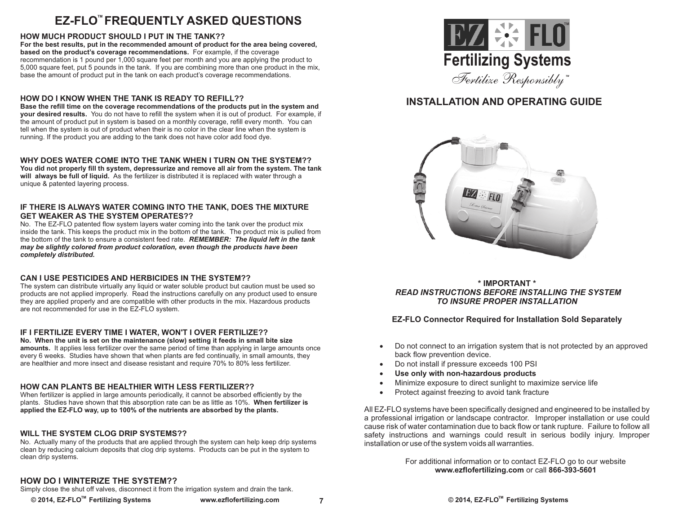## **EZ-FLO FREQUENTLY ASKED QUESTIONS TM**

### **HOW MUCH PRODUCT SHOULD I PUT IN THE TANK??**

**For the best results, put in the recommended amount of product for the area being covered, based on the product's coverage recommendations.** For example, if the coverage recommendation is 1 pound per 1,000 square feet per month and you are applying the product to 5,000 square feet, put 5 pounds in the tank. If you are combining more than one product in the mix, base the amount of product put in the tank on each product's coverage recommendations.

### **HOW DO I KNOW WHEN THE TANK IS READY TO REFILL??**

**Base the refill time on the coverage recommendations of the products put in the system and your desired results.** You do not have to refill the system when it is out of product. For example, if the amount of product put in system is based on a monthly coverage, refill every month. You can tell when the system is out of product when their is no color in the clear line when the system is running. If the product you are adding to the tank does not have color add food dye.

### **WHY DOES WATER COME INTO THE TANK WHEN I TURN ON THE SYSTEM??**

**You did not properly fill th system, depressurize and remove all air from the system. The tank will always be full of liquid.** As the fertilizer is distributed it is replaced with water through a unique & patented layering process.

#### **IF THERE IS ALWAYS WATER COMING INTO THE TANK, DOES THE MIXTURE GET WEAKER AS THE SYSTEM OPERATES??**

No. The EZ-FLO patented flow system layers water coming into the tank over the product mix inside the tank. This keeps the product mix in the bottom of the tank. The product mix is pulled from the bottom of the tank to ensure a consistent feed rate. *REMEMBER: The liquid left in the tank may be slightly colored from product coloration, even though the products have been completely distributed.* 

### **CAN I USE PESTICIDES AND HERBICIDES IN THE SYSTEM??**

The system can distribute virtually any liquid or water soluble product but caution must be used so products are not applied improperly. Read the instructions carefully on any product used to ensure they are applied properly and are compatible with other products in the mix. Hazardous products are not recommended for use in the EZ-FLO system.

### **IF I FERTILIZE EVERY TIME I WATER, WON'T I OVER FERTILIZE??**

**No. When the unit is set on the maintenance (slow) setting it feeds in small bite size amounts.** It applies less fertilizer over the same period of time than applying in large amounts once every 6 weeks. Studies have shown that when plants are fed continually, in small amounts, they are healthier and more insect and disease resistant and require 70% to 80% less fertilizer.

### **HOW CAN PLANTS BE HEALTHIER WITH LESS FERTILIZER??**

When fertilizer is applied in large amounts periodically, it cannot be absorbed efficiently by the plants. Studies have shown that this absorption rate can be as little as 10%. **When fertilizer is applied the EZ-FLO way, up to 100% of the nutrients are absorbed by the plants.**

### **WILL THE SYSTEM CLOG DRIP SYSTEMS??**

No. Actually many of the products that are applied through the system can help keep drip systems clean by reducing calcium deposits that clog drip systems. Products can be put in the system to clean drip systems.



## **INSTALLATION AND OPERATING GUIDE**



### **\* IMPORTANT \***  *READ INSTRUCTIONS BEFORE INSTALLING THE SYSTEM TO INSURE PROPER INSTALLATION*

### **EZ-FLO Connector Required for Installation Sold Separately**

- ·Do not connect to an irrigation system that is not protected by an approved
- Do not install if pressure exceeds 100 PSI
- Use only with non-hazardous products
- ·**Use only with non-hazardous products** ·Minimize exposure to direct sunlight to maximize service life
- Protect against freezing to avoid tank fracture

All EZ-FLO systems have been specifically designed and engineered to be installed by a professional irrigation or landscape contractor. Improper installation or use could cause risk of water contamination due to back flow or tank rupture. Failure to follow all safety instructions and warnings could result in serious bodily injury. Improper installation or use of the system voids all warranties.

> For additional information or to contact EZ-FLO go to our website **www.ezflofertilizing.com** or call **866-393-5601**

### **HOW DO I WINTERIZE THE SYSTEM??**

Simply close the shut off valves, disconnect it from the irrigation system and drain the tank.

**7**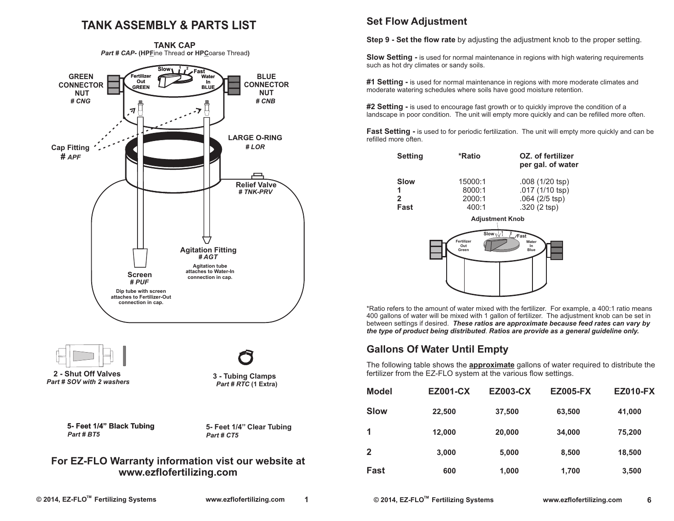## **TANK ASSEMBLY & PARTS LIST**



# **www.ezflofertilizing.com**

## **Set Flow Adjustment**

**Step 9 - Set the flow rate** by adjusting the adjustment knob to the proper setting.

**Slow Setting - is used for normal maintenance in regions with high watering requirements** such as hot dry climates or sandy soils.

**#1 Setting -** is used for normal maintenance in regions with more moderate climates and moderate watering schedules where soils have good moisture retention.

**#2 Setting -** is used to encourage fast growth or to quickly improve the condition of a landscape in poor condition. The unit will empty more quickly and can be refilled more often.

**Fast Setting - is used to for periodic fertilization.** The unit will empty more quickly and can be refilled more often.

| <b>Setting</b> | *Ratio  | OZ. of fertilizer<br>per gal. of water |  |
|----------------|---------|----------------------------------------|--|
| Slow           | 15000:1 | $.008(1/20$ tsp)                       |  |
| 1              | 8000:1  | $.017(1/10$ tsp)                       |  |
| $\mathbf{p}$   | 2000:1  | $.064$ (2/5 tsp)                       |  |
| Fast           | 400:1   | $.320(2$ tsp)                          |  |



\*Ratio refers to the amount of water mixed with the fertilizer. For example, a 400:1 ratio means 400 gallons of water will be mixed with 1 gallon of fertilizer. The adjustment knob can be set in between settings if desired. *These ratios are approximate because feed rates can vary by the type of product being distributed*. *Ratios are provide as a general guideline only.*

## **Gallons Of Water Until Empty**

The following table shows the **approximate** gallons of water required to distribute the fertilizer from the EZ-FLO system at the various flow settings.

| <b>Model</b> | <b>EZ001-CX</b> | <b>EZ003-CX</b> | <b>EZ005-FX</b> | <b>EZ010-FX</b> |
|--------------|-----------------|-----------------|-----------------|-----------------|
| <b>Slow</b>  | 22,500          | 37,500          | 63,500          | 41,000          |
| 1            | 12,000          | 20,000          | 34,000          | 75,200          |
| $\mathbf 2$  | 3,000           | 5,000           | 8,500           | 18,500          |
| Fast         | 600             | 1,000           | 1,700           | 3,500           |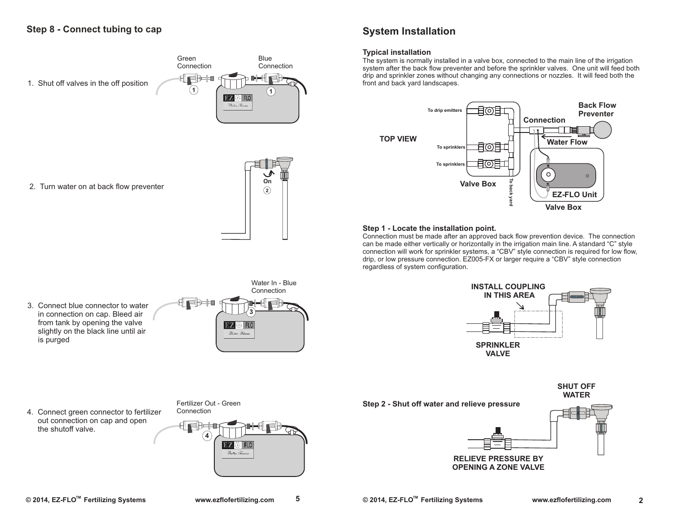

2. Turn water on at back flow preventer



### **System Installation**

### **Typical installation**

The system is normally installed in a valve box, connected to the main line of the irrigation system after the back flow preventer and before the sprinkler valves. One unit will feed both drip and sprinkler zones without changing any connections or nozzles. It will feed both the front and back yard landscapes.



#### **Step 1 - Locate the installation point.**

Connection must be made after an approved back flow prevention device. The connection can be made either vertically or horizontally in the irrigation main line. A standard "C" style connection will work for sprinkler systems, a "CBV" style connection is required for low flow, drip, or low pressure connection. EZ005-FX or larger require a "CBV" style connection regardless of system configuration.



**Step 2 - Shut off water and relieve pressure SHUT OFF WATER**



**OPENING A ZONE VALVE**

3. Connect blue connector to water in connection on cap. Bleed air from tank by opening the valve slightly on the black line until air is purged



4. Connect green connector to fertilizer out connection on cap and open the shutoff valve.



**5**